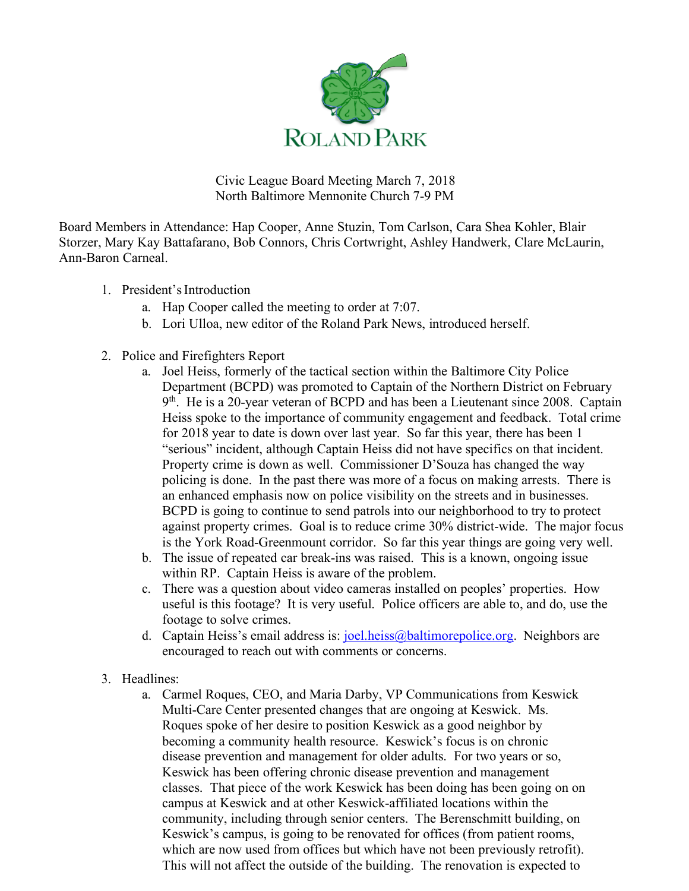

Civic League Board Meeting March 7, 2018 North Baltimore Mennonite Church 7-9 PM

Board Members in Attendance: Hap Cooper, Anne Stuzin, Tom Carlson, Cara Shea Kohler, Blair Storzer, Mary Kay Battafarano, Bob Connors, Chris Cortwright, Ashley Handwerk, Clare McLaurin, Ann-Baron Carneal.

- 1. President'sIntroduction
	- a. Hap Cooper called the meeting to order at 7:07.
	- b. Lori Ulloa, new editor of the Roland Park News, introduced herself.
- 2. Police and Firefighters Report
	- a. Joel Heiss, formerly of the tactical section within the Baltimore City Police Department (BCPD) was promoted to Captain of the Northern District on February 9<sup>th</sup>. He is a 20-year veteran of BCPD and has been a Lieutenant since 2008. Captain Heiss spoke to the importance of community engagement and feedback. Total crime for 2018 year to date is down over last year. So far this year, there has been 1 "serious" incident, although Captain Heiss did not have specifics on that incident. Property crime is down as well. Commissioner D'Souza has changed the way policing is done. In the past there was more of a focus on making arrests. There is an enhanced emphasis now on police visibility on the streets and in businesses. BCPD is going to continue to send patrols into our neighborhood to try to protect against property crimes. Goal is to reduce crime 30% district-wide. The major focus is the York Road-Greenmount corridor. So far this year things are going very well.
	- b. The issue of repeated car break-ins was raised. This is a known, ongoing issue within RP. Captain Heiss is aware of the problem.
	- c. There was a question about video cameras installed on peoples' properties. How useful is this footage? It is very useful. Police officers are able to, and do, use the footage to solve crimes.
	- d. Captain Heiss's email address is:  $j$ oel.heiss@baltimorepolice.org. Neighbors are encouraged to reach out with comments or concerns.
- 3. Headlines:
	- a. Carmel Roques, CEO, and Maria Darby, VP Communications from Keswick Multi-Care Center presented changes that are ongoing at Keswick. Ms. Roques spoke of her desire to position Keswick as a good neighbor by becoming a community health resource. Keswick's focus is on chronic disease prevention and management for older adults. For two years or so, Keswick has been offering chronic disease prevention and management classes. That piece of the work Keswick has been doing has been going on on campus at Keswick and at other Keswick-affiliated locations within the community, including through senior centers. The Berenschmitt building, on Keswick's campus, is going to be renovated for offices (from patient rooms, which are now used from offices but which have not been previously retrofit). This will not affect the outside of the building. The renovation is expected to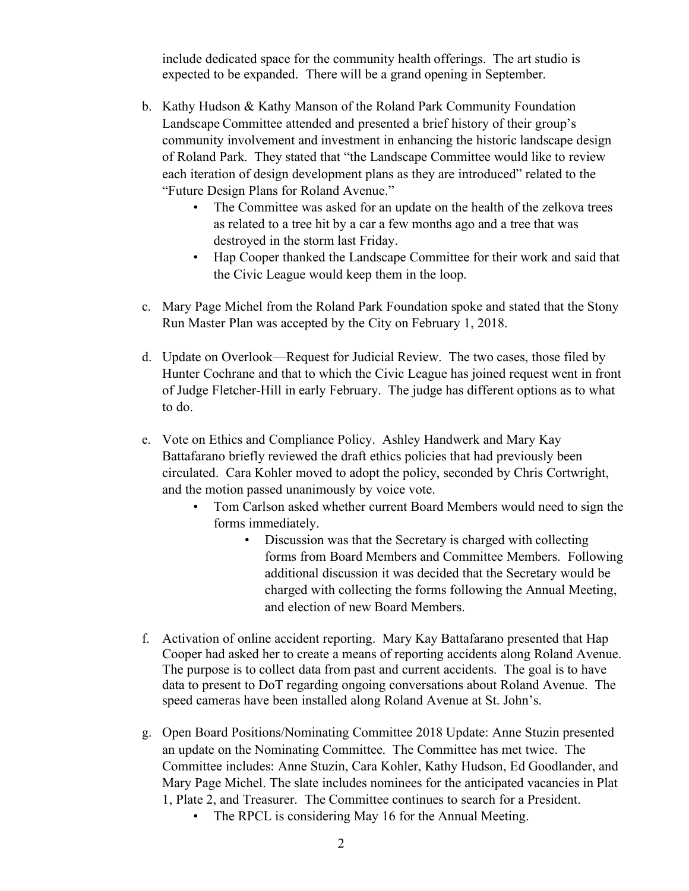include dedicated space for the community health offerings. The art studio is expected to be expanded. There will be a grand opening in September.

- b. Kathy Hudson & Kathy Manson of the Roland Park Community Foundation Landscape Committee attended and presented a brief history of their group's community involvement and investment in enhancing the historic landscape design of Roland Park. They stated that "the Landscape Committee would like to review each iteration of design development plans as they are introduced" related to the "Future Design Plans for Roland Avenue."
	- The Committee was asked for an update on the health of the zelkova trees as related to a tree hit by a car a few months ago and a tree that was destroyed in the storm last Friday.
	- Hap Cooper thanked the Landscape Committee for their work and said that the Civic League would keep them in the loop.
- c. Mary Page Michel from the Roland Park Foundation spoke and stated that the Stony Run Master Plan was accepted by the City on February 1, 2018.
- d. Update on Overlook—Request for Judicial Review. The two cases, those filed by Hunter Cochrane and that to which the Civic League has joined request went in front of Judge Fletcher-Hill in early February. The judge has different options as to what to do.
- e. Vote on Ethics and Compliance Policy. Ashley Handwerk and Mary Kay Battafarano briefly reviewed the draft ethics policies that had previously been circulated. Cara Kohler moved to adopt the policy, seconded by Chris Cortwright, and the motion passed unanimously by voice vote.
	- Tom Carlson asked whether current Board Members would need to sign the forms immediately.
		- Discussion was that the Secretary is charged with collecting forms from Board Members and Committee Members. Following additional discussion it was decided that the Secretary would be charged with collecting the forms following the Annual Meeting, and election of new Board Members.
- f. Activation of online accident reporting. Mary Kay Battafarano presented that Hap Cooper had asked her to create a means of reporting accidents along Roland Avenue. The purpose is to collect data from past and current accidents. The goal is to have data to present to DoT regarding ongoing conversations about Roland Avenue. The speed cameras have been installed along Roland Avenue at St. John's.
- g. Open Board Positions/Nominating Committee 2018 Update: Anne Stuzin presented an update on the Nominating Committee. The Committee has met twice. The Committee includes: Anne Stuzin, Cara Kohler, Kathy Hudson, Ed Goodlander, and Mary Page Michel. The slate includes nominees for the anticipated vacancies in Plat 1, Plate 2, and Treasurer. The Committee continues to search for a President.
	- The RPCL is considering May 16 for the Annual Meeting.